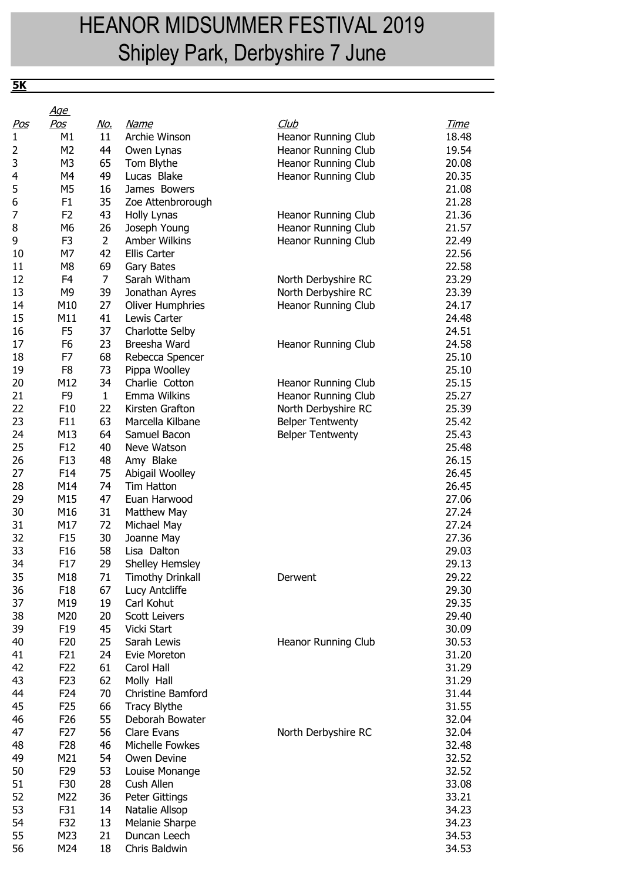## HEANOR MIDSUMMER FESTIVAL 2019 Shipley Park, Derbyshire 7 June

**5K**

|            | <u>Age</u>                       |                      |                                         |                                                    |                |
|------------|----------------------------------|----------------------|-----------------------------------------|----------------------------------------------------|----------------|
| <u>Pos</u> | <u>Pos</u>                       | <u>No.</u>           | <u>Name</u>                             | Club                                               | <u>Time</u>    |
| 1          | M1                               | 11                   | Archie Winson                           | Heanor Running Club                                | 18.48          |
| 2          | M <sub>2</sub>                   | 44                   | Owen Lynas                              | Heanor Running Club                                | 19.54          |
| 3          | M <sub>3</sub>                   | 65                   | Tom Blythe                              | Heanor Running Club                                | 20.08          |
| 4          | M4                               | 49                   | Lucas Blake                             | Heanor Running Club                                | 20.35          |
| 5          | M <sub>5</sub>                   | 16                   | James Bowers                            |                                                    | 21.08          |
| 6          | F <sub>1</sub>                   | 35                   | Zoe Attenbrorough                       |                                                    | 21.28          |
| 7          | F <sub>2</sub>                   | 43                   | Holly Lynas                             | Heanor Running Club                                | 21.36          |
| 8          | M6                               | 26                   | Joseph Young                            | Heanor Running Club                                | 21.57          |
| 9          | F <sub>3</sub>                   | $\overline{2}$       | Amber Wilkins                           | Heanor Running Club                                | 22.49          |
| 10<br>11   | M7                               | 42                   | Ellis Carter                            |                                                    | 22.56          |
| 12         | M <sub>8</sub><br>F <sub>4</sub> | 69<br>$\overline{7}$ | Gary Bates<br>Sarah Witham              |                                                    | 22.58          |
|            |                                  |                      |                                         | North Derbyshire RC                                | 23.29          |
| 13         | M <sub>9</sub>                   | 39                   | Jonathan Ayres                          | North Derbyshire RC                                | 23.39          |
| 14         | M10                              | 27<br>41             | <b>Oliver Humphries</b><br>Lewis Carter | Heanor Running Club                                | 24.17          |
| 15         | M11                              | 37                   |                                         |                                                    | 24.48          |
| 16<br>17   | F <sub>5</sub>                   |                      | Charlotte Selby<br>Breesha Ward         |                                                    | 24.51<br>24.58 |
|            | F <sub>6</sub><br>F7             | 23                   |                                         | Heanor Running Club                                |                |
| 18<br>19   | F <sub>8</sub>                   | 68<br>73             | Rebecca Spencer                         |                                                    | 25.10<br>25.10 |
|            | M12                              | 34                   | Pippa Woolley<br>Charlie Cotton         |                                                    |                |
| 20<br>21   | F <sub>9</sub>                   | $\mathbf{1}$         | Emma Wilkins                            | Heanor Running Club<br>Heanor Running Club         | 25.15          |
| 22         | F10                              | 22                   | Kirsten Grafton                         |                                                    | 25.27          |
| 23         | F11                              | 63                   | Marcella Kilbane                        | North Derbyshire RC                                | 25.39<br>25.42 |
| 24         | M13                              | 64                   | Samuel Bacon                            | <b>Belper Tentwenty</b><br><b>Belper Tentwenty</b> | 25.43          |
| 25         | F <sub>12</sub>                  | 40                   | Neve Watson                             |                                                    | 25.48          |
| 26         | F <sub>13</sub>                  | 48                   | Amy Blake                               |                                                    | 26.15          |
| 27         | F14                              | 75                   | Abigail Woolley                         |                                                    | 26.45          |
| 28         | M14                              | 74                   | Tim Hatton                              |                                                    | 26.45          |
| 29         | M15                              | 47                   | Euan Harwood                            |                                                    | 27.06          |
| 30         | M16                              | 31                   | <b>Matthew May</b>                      |                                                    | 27.24          |
| 31         | M17                              | 72                   | Michael May                             |                                                    | 27.24          |
| 32         | F <sub>15</sub>                  | 30                   | Joanne May                              |                                                    | 27.36          |
| 33         | F <sub>16</sub>                  | 58                   | Lisa Dalton                             |                                                    | 29.03          |
| 34         | F17                              | 29                   | Shelley Hemsley                         |                                                    | 29.13          |
| 35         | M18                              | 71                   | <b>Timothy Drinkall</b>                 | Derwent                                            | 29.22          |
| 36         | F <sub>18</sub>                  | 67                   | Lucy Antcliffe                          |                                                    | 29.30          |
| 37         | M19                              | 19                   | Carl Kohut                              |                                                    | 29.35          |
| 38         | M20                              | 20                   | <b>Scott Leivers</b>                    |                                                    | 29.40          |
| 39         | F <sub>19</sub>                  | 45                   | Vicki Start                             |                                                    | 30.09          |
| 40         | F <sub>20</sub>                  | 25                   | Sarah Lewis                             | Heanor Running Club                                | 30.53          |
| 41         | F21                              | 24                   | Evie Moreton                            |                                                    | 31.20          |
| 42         | F <sub>22</sub>                  | 61                   | Carol Hall                              |                                                    | 31.29          |
| 43         | F <sub>23</sub>                  | 62                   | Molly Hall                              |                                                    | 31.29          |
| 44         | F24                              | 70                   | Christine Bamford                       |                                                    | 31.44          |
| 45         | F <sub>25</sub>                  | 66                   | <b>Tracy Blythe</b>                     |                                                    | 31.55          |
| 46         | F <sub>26</sub>                  | 55                   | Deborah Bowater                         |                                                    | 32.04          |
| 47         | F <sub>27</sub>                  | 56                   | Clare Evans                             | North Derbyshire RC                                | 32.04          |
| 48         | F <sub>28</sub>                  | 46                   | Michelle Fowkes                         |                                                    | 32.48          |
| 49         | M21                              | 54                   | Owen Devine                             |                                                    | 32.52          |
| 50         | F <sub>29</sub>                  | 53                   | Louise Monange                          |                                                    | 32.52          |
| 51         | F30                              | 28                   | Cush Allen                              |                                                    | 33.08          |
| 52         | M22                              | 36                   | Peter Gittings                          |                                                    | 33.21          |
| 53         | F31                              | 14                   | Natalie Allsop                          |                                                    | 34.23          |
| 54         | F32                              | 13                   | Melanie Sharpe                          |                                                    | 34.23          |
| 55         | M23                              | 21                   | Duncan Leech                            |                                                    | 34.53          |
| 56         | M24                              | 18                   | Chris Baldwin                           |                                                    | 34.53          |